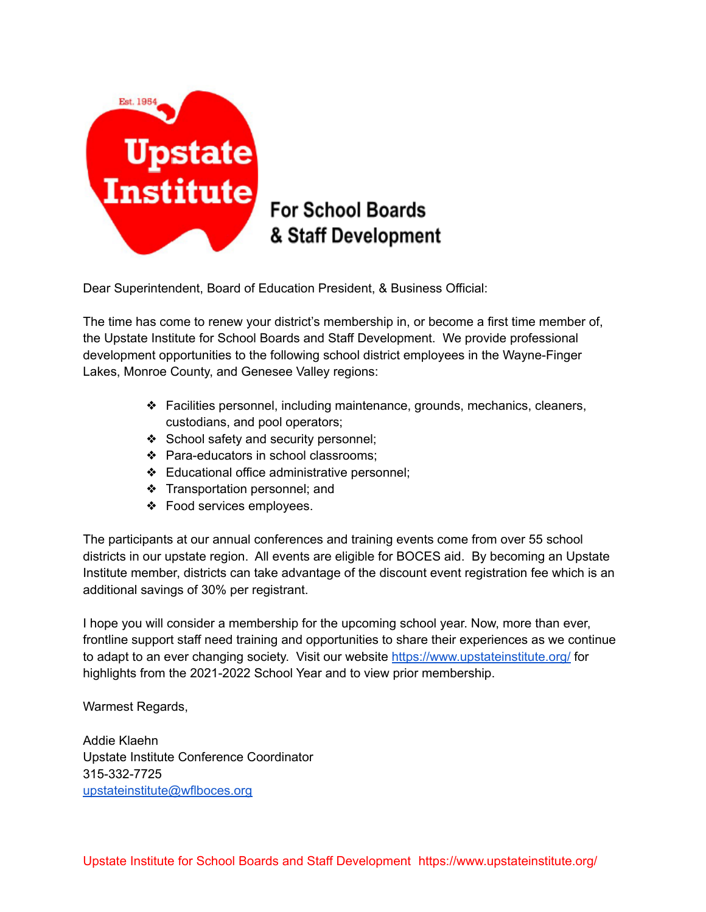

### **For School Boards** & Staff Development

Dear Superintendent, Board of Education President, & Business Official:

The time has come to renew your district's membership in, or become a first time member of, the Upstate Institute for School Boards and Staff Development. We provide professional development opportunities to the following school district employees in the Wayne-Finger Lakes, Monroe County, and Genesee Valley regions:

- ❖ Facilities personnel, including maintenance, grounds, mechanics, cleaners, custodians, and pool operators;
- ❖ School safety and security personnel;
- ❖ Para-educators in school classrooms;
- ❖ Educational office administrative personnel;
- ❖ Transportation personnel; and
- ❖ Food services employees.

The participants at our annual conferences and training events come from over 55 school districts in our upstate region. All events are eligible for BOCES aid. By becoming an Upstate Institute member, districts can take advantage of the discount event registration fee which is an additional savings of 30% per registrant.

I hope you will consider a membership for the upcoming school year. Now, more than ever, frontline support staff need training and opportunities to share their experiences as we continue to adapt to an ever changing society. Visit our website <https://www.upstateinstitute.org/> for highlights from the 2021-2022 School Year and to view prior membership.

Warmest Regards,

Addie Klaehn Upstate Institute Conference Coordinator 315-332-7725 [upstateinstitute@wflboces.org](mailto:upstateinstitute@wflboces.org)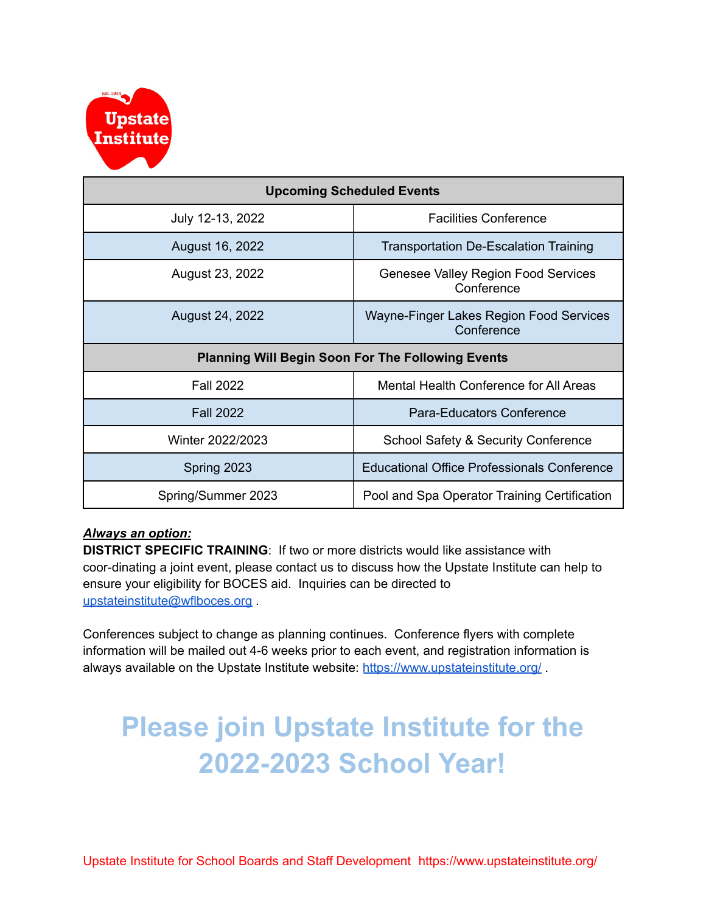

| <b>Upcoming Scheduled Events</b>                         |                                                       |
|----------------------------------------------------------|-------------------------------------------------------|
| July 12-13, 2022                                         | <b>Facilities Conference</b>                          |
| August 16, 2022                                          | <b>Transportation De-Escalation Training</b>          |
| August 23, 2022                                          | Genesee Valley Region Food Services<br>Conference     |
| August 24, 2022                                          | Wayne-Finger Lakes Region Food Services<br>Conference |
| <b>Planning Will Begin Soon For The Following Events</b> |                                                       |
|                                                          |                                                       |
| <b>Fall 2022</b>                                         | Mental Health Conference for All Areas                |
| <b>Fall 2022</b>                                         | Para-Educators Conference                             |
| Winter 2022/2023                                         | School Safety & Security Conference                   |
| Spring 2023                                              | <b>Educational Office Professionals Conference</b>    |

#### *Always an option:*

**DISTRICT SPECIFIC TRAINING**: If two or more districts would like assistance with coor-dinating a joint event, please contact us to discuss how the Upstate Institute can help to ensure your eligibility for BOCES aid. Inquiries can be directed to [upstateinstitute@wflboces.org](mailto:upstateinstitute@wflboces.org)

Conferences subject to change as planning continues. Conference flyers with complete information will be mailed out 4-6 weeks prior to each event, and registration information is always available on the Upstate Institute website: <https://www.upstateinstitute.org/>.

# **Please join Upstate Institute for the 2022-2023 School Year!**